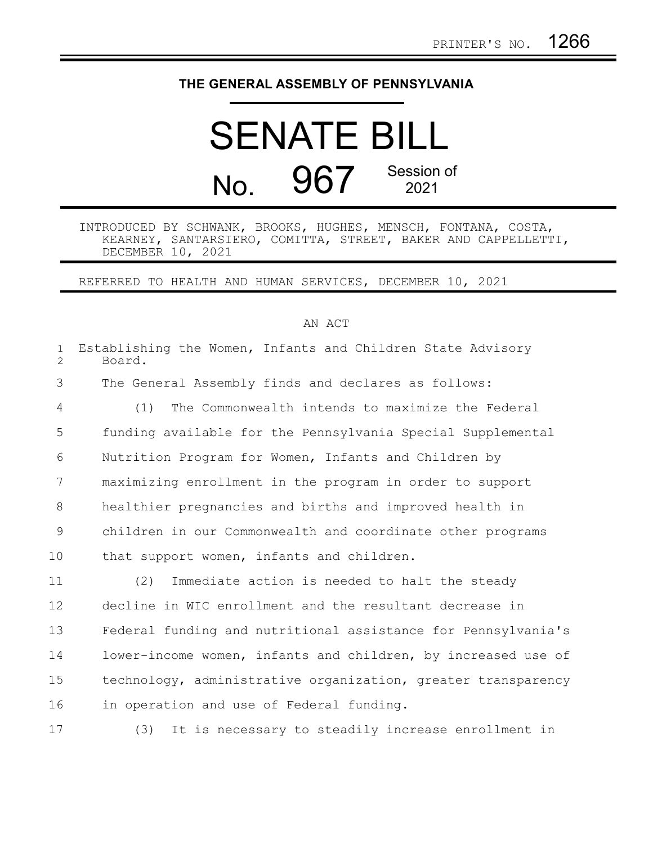## **THE GENERAL ASSEMBLY OF PENNSYLVANIA**

## SENATE BILL No. 967 Session of 2021

## INTRODUCED BY SCHWANK, BROOKS, HUGHES, MENSCH, FONTANA, COSTA, KEARNEY, SANTARSIERO, COMITTA, STREET, BAKER AND CAPPELLETTI, DECEMBER 10, 2021

REFERRED TO HEALTH AND HUMAN SERVICES, DECEMBER 10, 2021

## AN ACT

| $\mathbf{1}$<br>$\overline{2}$ | Establishing the Women, Infants and Children State Advisory<br>Board. |
|--------------------------------|-----------------------------------------------------------------------|
| 3                              | The General Assembly finds and declares as follows:                   |
| 4                              | The Commonwealth intends to maximize the Federal<br>(1)               |
| 5                              | funding available for the Pennsylvania Special Supplemental           |
| 6                              | Nutrition Program for Women, Infants and Children by                  |
| $7\phantom{.0}$                | maximizing enrollment in the program in order to support              |
| 8                              | healthier pregnancies and births and improved health in               |
| 9                              | children in our Commonwealth and coordinate other programs            |
| 10                             | that support women, infants and children.                             |
| 11                             | Immediate action is needed to halt the steady<br>(2)                  |
| 12                             | decline in WIC enrollment and the resultant decrease in               |
| 13                             | Federal funding and nutritional assistance for Pennsylvania's         |
| 14                             | lower-income women, infants and children, by increased use of         |
| 15                             | technology, administrative organization, greater transparency         |
| 16                             | in operation and use of Federal funding.                              |
| 17                             | It is necessary to steadily increase enrollment in<br>(3)             |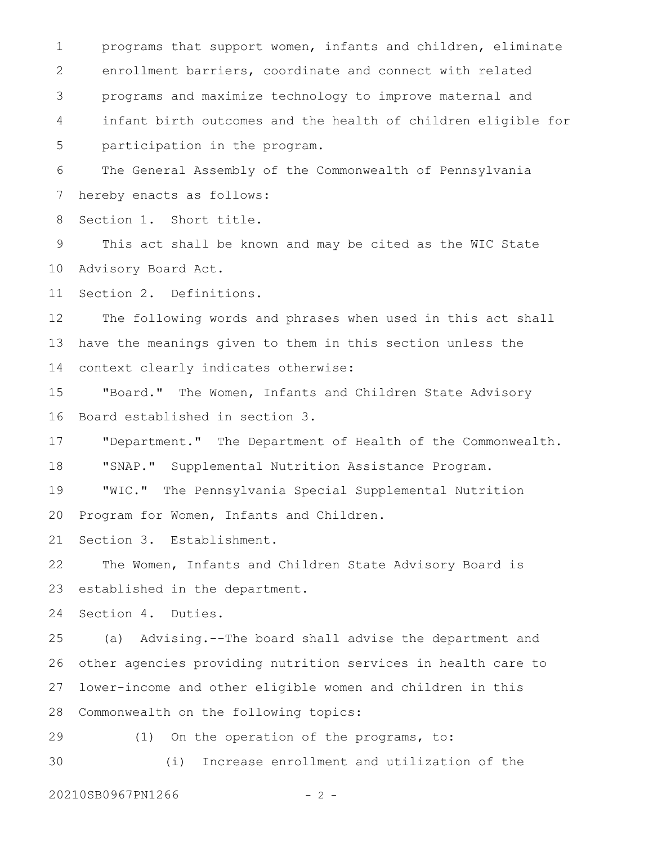programs that support women, infants and children, eliminate enrollment barriers, coordinate and connect with related programs and maximize technology to improve maternal and infant birth outcomes and the health of children eligible for participation in the program. 1 2 3 4 5

The General Assembly of the Commonwealth of Pennsylvania hereby enacts as follows: 6 7

Section 1. Short title. 8

This act shall be known and may be cited as the WIC State Advisory Board Act. 9 10

Section 2. Definitions. 11

The following words and phrases when used in this act shall have the meanings given to them in this section unless the context clearly indicates otherwise: 12 13 14

"Board." The Women, Infants and Children State Advisory Board established in section 3. 15 16

"Department." The Department of Health of the Commonwealth. 17

"SNAP." Supplemental Nutrition Assistance Program. 18

"WIC." The Pennsylvania Special Supplemental Nutrition 19

Program for Women, Infants and Children. 20

Section 3. Establishment. 21

The Women, Infants and Children State Advisory Board is established in the department. 22 23

Section 4. Duties. 24

(a) Advising.--The board shall advise the department and other agencies providing nutrition services in health care to lower-income and other eligible women and children in this Commonwealth on the following topics: 25 26 27 28

(1) On the operation of the programs, to: (i) Increase enrollment and utilization of the 29 30

20210SB0967PN1266 - 2 -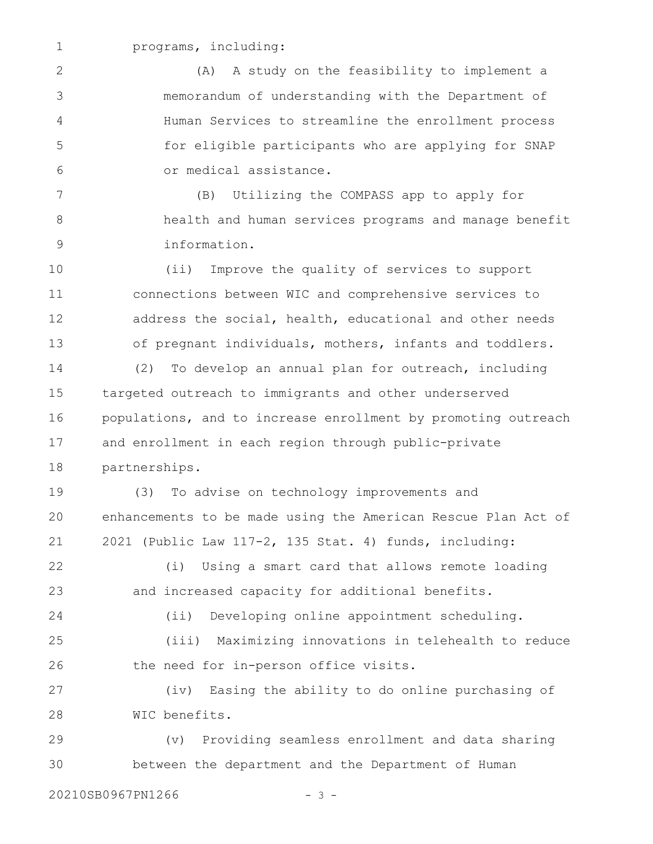1

programs, including:

(A) A study on the feasibility to implement a memorandum of understanding with the Department of Human Services to streamline the enrollment process for eligible participants who are applying for SNAP or medical assistance. 2 3 4 5 6

(B) Utilizing the COMPASS app to apply for health and human services programs and manage benefit information. 7 8 9

(ii) Improve the quality of services to support connections between WIC and comprehensive services to address the social, health, educational and other needs of pregnant individuals, mothers, infants and toddlers. 10 11 12 13

(2) To develop an annual plan for outreach, including targeted outreach to immigrants and other underserved populations, and to increase enrollment by promoting outreach and enrollment in each region through public-private partnerships. 14 15 16 17 18

(3) To advise on technology improvements and enhancements to be made using the American Rescue Plan Act of 2021 (Public Law 117-2, 135 Stat. 4) funds, including: 19 20 21

(i) Using a smart card that allows remote loading and increased capacity for additional benefits. 22 23

(ii) Developing online appointment scheduling. (iii) Maximizing innovations in telehealth to reduce the need for in-person office visits. 24 25 26

(iv) Easing the ability to do online purchasing of WIC benefits. 27 28

(v) Providing seamless enrollment and data sharing between the department and the Department of Human 29 30

20210SB0967PN1266 - 3 -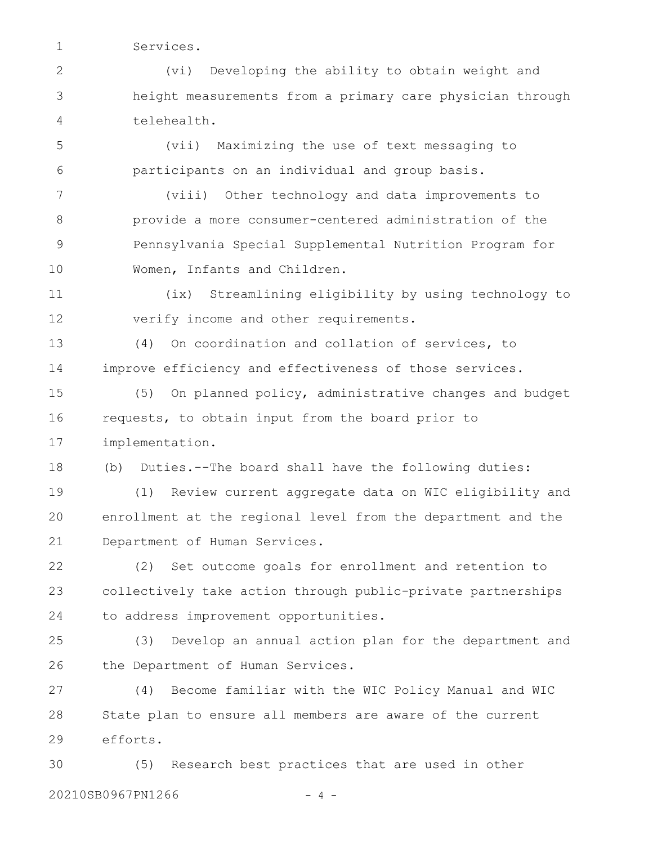Services.

1

(vi) Developing the ability to obtain weight and height measurements from a primary care physician through telehealth. 2 3 4

(vii) Maximizing the use of text messaging to participants on an individual and group basis. 5 6

(viii) Other technology and data improvements to provide a more consumer-centered administration of the Pennsylvania Special Supplemental Nutrition Program for Women, Infants and Children. 7 8 9 10

(ix) Streamlining eligibility by using technology to verify income and other requirements. 11 12

(4) On coordination and collation of services, to improve efficiency and effectiveness of those services. 13 14

(5) On planned policy, administrative changes and budget requests, to obtain input from the board prior to implementation. 15 16 17

(b) Duties.--The board shall have the following duties: 18

(1) Review current aggregate data on WIC eligibility and enrollment at the regional level from the department and the Department of Human Services. 19 20 21

(2) Set outcome goals for enrollment and retention to collectively take action through public-private partnerships to address improvement opportunities. 22 23 24

(3) Develop an annual action plan for the department and the Department of Human Services. 25 26

(4) Become familiar with the WIC Policy Manual and WIC State plan to ensure all members are aware of the current efforts. 27 28 29

(5) Research best practices that are used in other 20210SB0967PN1266 - 4 -30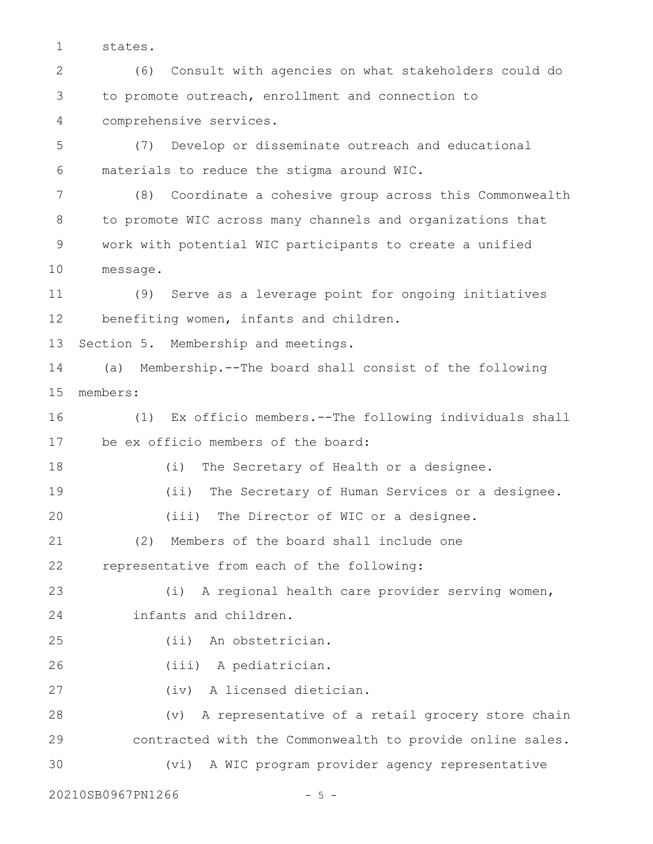states. 1

(6) Consult with agencies on what stakeholders could do to promote outreach, enrollment and connection to comprehensive services. 2 3 4

(7) Develop or disseminate outreach and educational materials to reduce the stigma around WIC. 5 6

(8) Coordinate a cohesive group across this Commonwealth to promote WIC across many channels and organizations that work with potential WIC participants to create a unified message. 7 8 9 10

(9) Serve as a leverage point for ongoing initiatives benefiting women, infants and children. 11 12

Section 5. Membership and meetings. 13

(a) Membership.--The board shall consist of the following members: 14 15

(1) Ex officio members.--The following individuals shall be ex officio members of the board: 16 17

(i) The Secretary of Health or a designee. (ii) The Secretary of Human Services or a designee. (iii) The Director of WIC or a designee. (2) Members of the board shall include one representative from each of the following: (i) A regional health care provider serving women, infants and children. (ii) An obstetrician. (iii) A pediatrician. (iv) A licensed dietician. (v) A representative of a retail grocery store chain contracted with the Commonwealth to provide online sales. 18 19 20 21 22 23 24 25 26 27 28 29

(vi) A WIC program provider agency representative 30

20210SB0967PN1266 - 5 -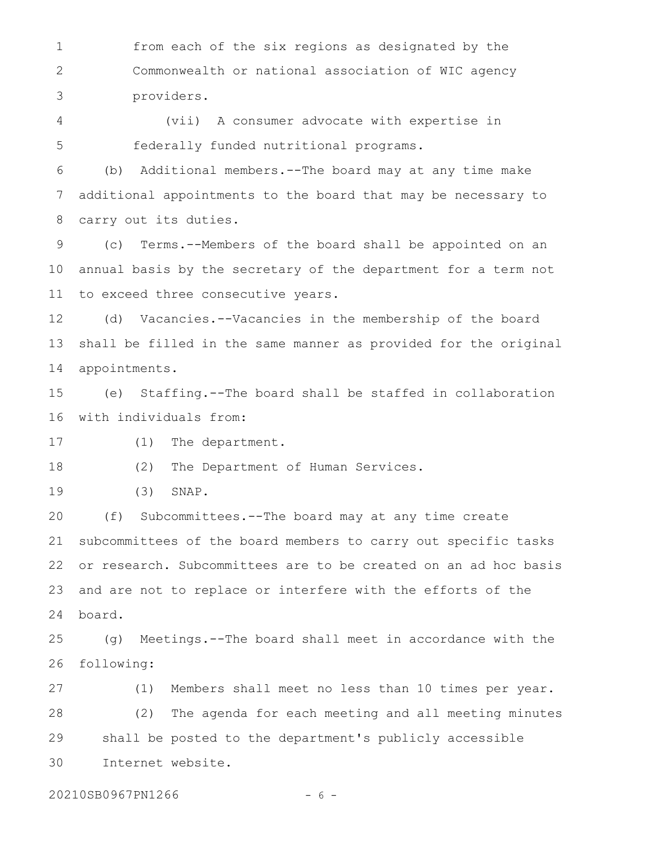from each of the six regions as designated by the Commonwealth or national association of WIC agency providers. 1 2 3

(vii) A consumer advocate with expertise in federally funded nutritional programs. 4 5

(b) Additional members.--The board may at any time make additional appointments to the board that may be necessary to carry out its duties. 6 7 8

(c) Terms.--Members of the board shall be appointed on an annual basis by the secretary of the department for a term not to exceed three consecutive years. 9 10 11

(d) Vacancies.--Vacancies in the membership of the board shall be filled in the same manner as provided for the original appointments. 12 13 14

(e) Staffing.--The board shall be staffed in collaboration with individuals from: 15 16

(1) The department. 17

(2) The Department of Human Services. 18

(3) SNAP. 19

(f) Subcommittees.--The board may at any time create subcommittees of the board members to carry out specific tasks or research. Subcommittees are to be created on an ad hoc basis and are not to replace or interfere with the efforts of the board. 20 21 22 23 24

(g) Meetings.--The board shall meet in accordance with the following: 25 26

(1) Members shall meet no less than 10 times per year. (2) The agenda for each meeting and all meeting minutes shall be posted to the department's publicly accessible Internet website. 27 28 29 30

20210SB0967PN1266 - 6 -